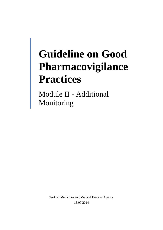# **Guideline on Good Pharmacovigilance Practices**

Module II - Additional Monitoring

> Turkish Medicines and Medical Devices Agency 15.07.2014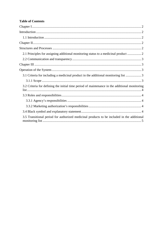# **Table of Contents**

| 2.1 Principles for assigning additional monitoring status to a medicinal product  2           |
|-----------------------------------------------------------------------------------------------|
|                                                                                               |
|                                                                                               |
|                                                                                               |
| 3.1 Criteria for including a medicinal product in the additional monitoring list 3            |
|                                                                                               |
| 3.2 Criteria for defining the initial time period of maintenance in the additional monitoring |
|                                                                                               |
|                                                                                               |
|                                                                                               |
|                                                                                               |
| 3.5 Transitional period for authorized medicinal products to be included in the additional    |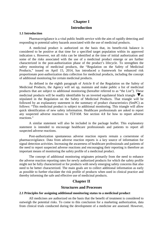# **Chapter I Introduction**

#### <span id="page-2-2"></span><span id="page-2-1"></span><span id="page-2-0"></span>**1.1 Introduction**

Pharmacovigilance is a vital public health service with the aim of rapidly detecting and responding to potential safety hazards associated with the use of medicinal products.

A medicinal product is authorized on the basis that, its benefit-risk balance is considered to be positive at that time for a specified target population within its approved indication s. However, not all risks can be identified at the time of initial authorization and some of the risks associated with the use of a medicinal product emerge or are further characterized in the post-authorization phase of the product's lifecycle. To strengthen the safety monitoring of medicinal products, the "Regulation on the Safety of Medicinal Products," issued on April 15, 2014, has introduced a framework for enhanced risk proportionate post-authorization data collection for medicinal products, including the concept of additional monitoring for certain medicinal products.

As defined in the eighth paragraph of Article 8 of the Regulation on the Safety of Medicinal Products, the Agency will set up, maintain and make public a list of medicinal products that are subject to additional monitoring (hereafter referred to as "the List"). These medicinal products will be readily identifiable by an inverted equilateral black triangle  $\blacktriangledown$  as stipulated in the Regulation on the Safety of Medicinal Products. That triangle will be followed by an explanatory statement in the summary of product characteristics (SmPC) as follows: "This medicinal product is subject to additional monitoring. This triangle will allow quick identification of new safety information. Healthcare professionals are asked to report any suspected adverse reactions to TÜFAM. See section 4.8 for how to report adverse reactions."

A similar statement will also be included in the package leaflet. This explanatory statement is intended to encourage healthcare professionals and patients to report all suspected adverse reactions.

Post-authorization spontaneous adverse reaction reports remain a cornerstone of pharmacovigilance. Data from adverse reaction reports is a key source of information for signal detection activities. Increasing the awareness of healthcare professionals and patients of the need to report suspected adverse reactions and encouraging their reporting is therefore an important means of monitoring the safety profile of a medicinal product.

The concept of additional monitoring originates primarily from the need to enhance the adverse reaction reporting rates for newly authorized products for which the safety profile might not be fully characterized or for products with newly emerging safety concerns that also need to be better characterized. The main goals are to collect additional information as early as possible to further elucidate the risk profile of products when used in clinical practice and thereby informing the safe and effective use of medicinal products.

# **Chapter II**

# **Structures and Processes**

#### <span id="page-2-5"></span><span id="page-2-4"></span><span id="page-2-3"></span>**2.1 Principles for assigning additional monitoring status to a medicinal product**

All medicines are authorized on the basis that the benefit of treatment is considered to outweigh the potential risks. To come to this conclusion for a marketing authorization, data from clinical trials conducted during the development of a medicine are assessed. However,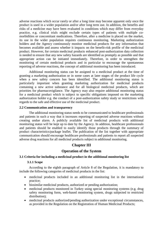adverse reactions which occur rarely or after a long time may become apparent only once the product is used in a wider population and/or after long term use. In addition, the benefits and risks of a medicine may have been evaluated in conditions which may differ from everyday practice, e.g. clinical trials might exclude certain types of patients with multiple comorbidities or concomitant medications. Therefore, after a medicine is placed on the market, its use in the wider population requires continuous monitoring. Marketing authorization holders and the Agency continuously monitor medicinal products for any information that becomes available and assess whether it impacts on the benefit-risk profile of the medicinal product. However, for certain medicinal products enhanced post-authorization data collection is needed to ensure that any new safety hazards are identified as promptly as possible and that appropriate action can be initiated immediately. Therefore, in order to strengthen the monitoring of certain medicinal products and in particular to encourage the spontaneous reporting of adverse reactions, the concept of additional monitoring has been introduced.

Additional monitoring status can be assigned to a medicinal product at the time of granting a marketing authorization or in some cases at later stages of the product life cycle when a new safety concern has been identified. The additional monitoring status is particularly important when granting marketing authorization for medicinal products containing a new active substance and for all biological medicinal products, which are priorities for pharmacovigilance. The Agency may also require additional monitoring status for a medicinal product which is subject to specific obligations imposed on the marketing authorization holder e.g. the conduct of a post-authorization safety study or restrictions with regards to the safe and effective use of the medicinal product.

## <span id="page-3-0"></span>**2.2 Communication and transparency**

The additional monitoring status needs to be communicated to healthcare professionals and patients in such a way that it increases reporting of suspected adverse reactions without creating undue alarm. A publicly available list of medicinal products with additional monitoring status will be kept up to date by the Agency. In addition, healthcare professionals and patients should be enabled to easily identify those products through the summary of product characteristics/package leaflet. The publication of the list together with appropriate communication should encourage healthcare professionals and patients to report all suspected adverse drug reactions for all medicinal products subject to additional monitoring.

# **Chapter III**

# **Operation of the System**

## <span id="page-3-4"></span><span id="page-3-3"></span><span id="page-3-2"></span><span id="page-3-1"></span>**3.1 Criteria for including a medicinal product in the additional monitoring list**

## **3.1.1 Scope**

According to the eighth paragraph of Article 8 of the Regulation, it is mandatory to include the following categories of medicinal products in the list:

- medicinal products included in an additional monitoring list in the international practice;
- biosimilar medicinal products, authorized or pending authorization;
- medicinal products monitored in Turkey using special monitoring systems (e.g. drug safety monitoring form, web-based monitoring system, drugs subjected to restricted distribution);
- medicinal products authorized/pending authorization under exceptional circumstances, as provided in the Regulation on the Registration of Human Medicinal Products;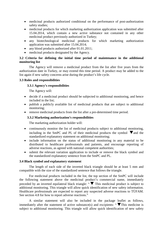- medicinal products authorized conditional on the performance of post-authorization safety studies;
- medicinal products for which marketing authorization application was submitted after 15.04.2014, which contain a new active substance not contained in any other medicinal product previously authorized in Turkey;
- any biotechnological medicinal products for which marketing authorization application was submitted after 15.04.2014;
- any blood products authorized after 01.01.2011;
- medicinal products designated by the Agency.

# <span id="page-4-0"></span>**3.2 Criteria for defining the initial time period of maintenance in the additional monitoring list**

The Agency will remove a medicinal product from the list after five years from the authorization date in Turkey, or may extend this time period. A product may be added to the list again if new safety concerns arise during the product's life cycle.

## <span id="page-4-2"></span><span id="page-4-1"></span>**3.3 Roles and responsibilities**

# **3.3.1 Agency's responsibilities**

The Agency will:

- decide if a medicinal product should be subjected to additional monitoring, and hence included in the list;
- publish a publicly available list of medicinal products that are subject to additional monitoring;
- <span id="page-4-3"></span>• remove medicinal products from the list after a pre-determined time period.

# **3.3.2 Marketing authorization's responsibilities**

The marketing authorization holder will:

- continuously monitor the list of medicinal products subject to additional monitoring, including in the SmPC and PL of their medicinal products the symbol  $\nabla$  and the standardized explanatory statement on additional monitoring;
- include information on the status of additional monitoring in any material to be distributed to healthcare professionals and patients, and encourage reporting of adverse reactions, as agreed with national competent authorities;
- submit the relevant variation application to include or remove the black symbol and the standardized explanatory sentence from the SmPC and PL.

# <span id="page-4-4"></span>**3.4 Black symbol and explanatory statement**

The length of each side of the inverted black triangle should be at least 5 mm and compatible with the size of the standardized sentence that follows the triangle.

For medicinal products included in the list, the top section of the SmPC will include the following statement above the medicinal product's commercial name, immediately preceded by an inverted equilateral black triangle: " $\nabla$  This medicinal product is subject to additional monitoring. This triangle will allow quick identification of new safety information. Healthcare professionals are expected to report any suspected adverse reactions to TÜFAM. See section 4.8 for how to report adverse reactions."

A similar statement will also be included in the package leaflet as follows, immediately after the statement of active substance(s) and excipients: " $\nabla$ This medicine is subject to additional monitoring. This triangle will allow quick identification of new safety